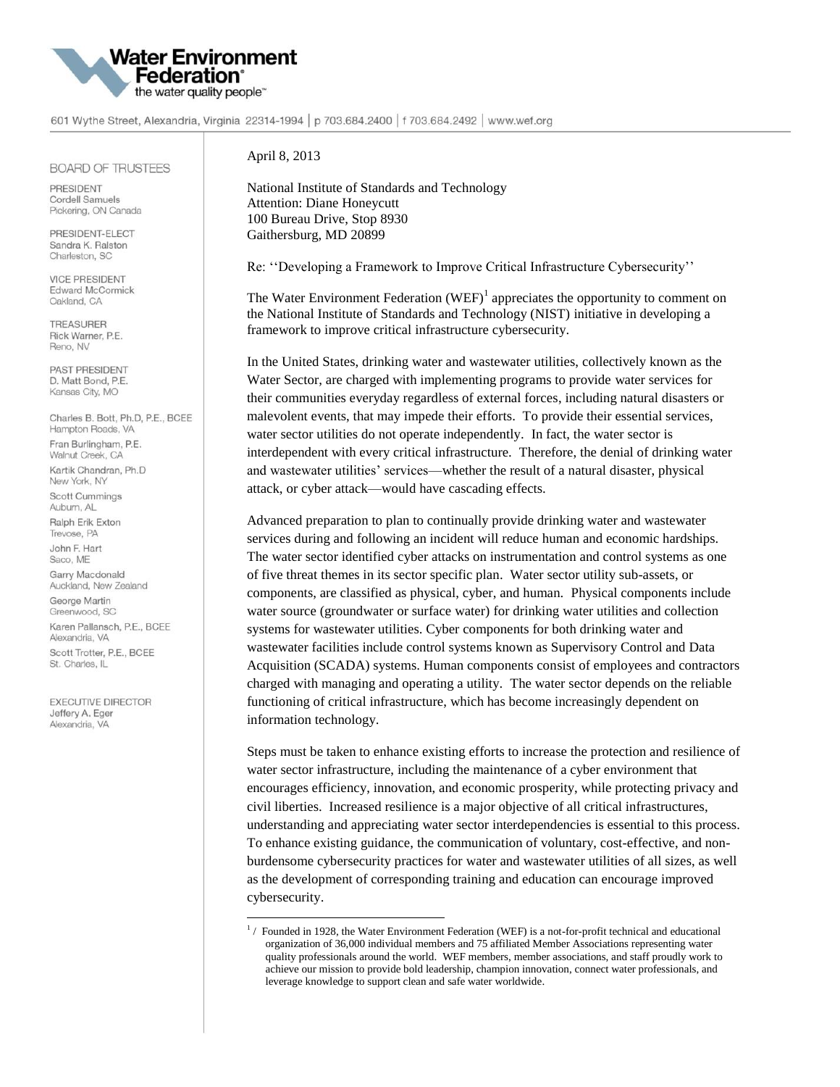

601 Wythe Street, Alexandria, Virginia 22314-1994 | p 703.684.2400 | f 703.684.2492 | www.wef.org

## **BOARD OF TRUSTEES**

PRESIDENT Cordell Samuels Pickering, ON Canada

PRESIDENT-FLECT Sandra K. Ralston Charleston, SC

**VICE PRESIDENT Edward McCormick** Oakland, CA

**TREASURER** Rick Warner, P.E. Reno, NV

PAST PRESIDENT D. Matt Bond, P.E. Kansas City, MO

Charles B. Bott, Ph.D, P.E., BCEE Hampton Roads, VA Fran Burlingham, P.E. Walnut Creek, CA Kartik Chandran, Ph.D New York, NY Scott Cummings Auburn, AL Ralph Erik Exton Trevose, PA John F. Hart

Saco, ME Garry Macdonald

Auckland, New Zealand George Martin Greenwood, SC Karen Pallansch, P.E., BCEE Alexandria, VA

Scott Trotter, P.E., BCEE St. Charles, IL

**EXECUTIVE DIRECTOR** Jeffery A. Eger Alexandria, VA

April 8, 2013

 $\overline{\phantom{a}}$ 

National Institute of Standards and Technology Attention: Diane Honeycutt 100 Bureau Drive, Stop 8930 Gaithersburg, MD 20899

Re: ''Developing a Framework to Improve Critical Infrastructure Cybersecurity''

The Water Environment Federation  $(WEF)^{1}$  appreciates the opportunity to comment on the National Institute of Standards and Technology (NIST) initiative in developing a framework to improve critical infrastructure cybersecurity.

In the United States, drinking water and wastewater utilities, collectively known as the Water Sector, are charged with implementing programs to provide water services for their communities everyday regardless of external forces, including natural disasters or malevolent events, that may impede their efforts. To provide their essential services, water sector utilities do not operate independently. In fact, the water sector is interdependent with every critical infrastructure. Therefore, the denial of drinking water and wastewater utilities' services—whether the result of a natural disaster, physical attack, or cyber attack—would have cascading effects.

Advanced preparation to plan to continually provide drinking water and wastewater services during and following an incident will reduce human and economic hardships. The water sector identified cyber attacks on instrumentation and control systems as one of five threat themes in its sector specific plan. Water sector utility sub-assets, or components, are classified as physical, cyber, and human. Physical components include water source (groundwater or surface water) for drinking water utilities and collection systems for wastewater utilities. Cyber components for both drinking water and wastewater facilities include control systems known as Supervisory Control and Data Acquisition (SCADA) systems. Human components consist of employees and contractors charged with managing and operating a utility. The water sector depends on the reliable functioning of critical infrastructure, which has become increasingly dependent on information technology.

Steps must be taken to enhance existing efforts to increase the protection and resilience of water sector infrastructure, including the maintenance of a cyber environment that encourages efficiency, innovation, and economic prosperity, while protecting privacy and civil liberties. Increased resilience is a major objective of all critical infrastructures, understanding and appreciating water sector interdependencies is essential to this process. To enhance existing guidance, the communication of voluntary, cost-effective, and nonburdensome cybersecurity practices for water and wastewater utilities of all sizes, as well as the development of corresponding training and education can encourage improved cybersecurity.

<sup>&</sup>lt;sup>1</sup>/ Founded in 1928, the Water Environment Federation (WEF) is a not-for-profit technical and educational organization of 36,000 individual members and 75 affiliated Member Associations representing water quality professionals around the world. WEF members, member associations, and staff proudly work to achieve our mission to provide bold leadership, champion innovation, connect water professionals, and leverage knowledge to support clean and safe water worldwide.